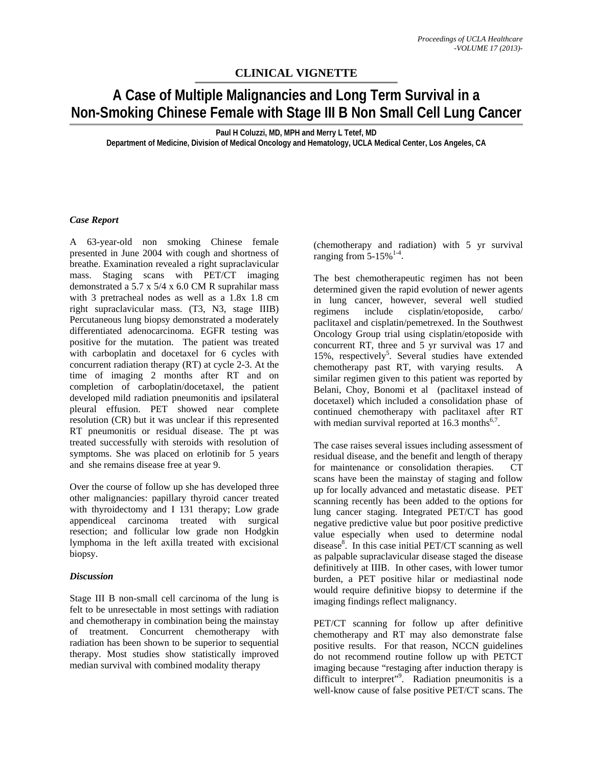## **CLINICAL VIGNETTE**

# **A Case of Multiple Malignancies and Long Term Survival in a Non-Smoking Chinese Female with Stage III B Non Small Cell Lung Cancer**

**Paul H Coluzzi, MD, MPH and Merry L Tetef, MD** 

**Department of Medicine, Division of Medical Oncology and Hematology, UCLA Medical Center, Los Angeles, CA** 

### *Case Report*

A 63-year-old non smoking Chinese female presented in June 2004 with cough and shortness of breathe. Examination revealed a right supraclavicular mass. Staging scans with PET/CT imaging demonstrated a 5.7 x 5/4 x 6.0 CM R suprahilar mass with 3 pretracheal nodes as well as a 1.8x 1.8 cm right supraclavicular mass. (T3, N3, stage IIIB) Percutaneous lung biopsy demonstrated a moderately differentiated adenocarcinoma. EGFR testing was positive for the mutation. The patient was treated with carboplatin and docetaxel for 6 cycles with concurrent radiation therapy (RT) at cycle 2-3. At the time of imaging 2 months after RT and on completion of carboplatin/docetaxel, the patient developed mild radiation pneumonitis and ipsilateral pleural effusion. PET showed near complete resolution (CR) but it was unclear if this represented RT pneumonitis or residual disease. The pt was treated successfully with steroids with resolution of symptoms. She was placed on erlotinib for 5 years and she remains disease free at year 9.

Over the course of follow up she has developed three other malignancies: papillary thyroid cancer treated with thyroidectomy and I 131 therapy; Low grade appendiceal carcinoma treated with surgical resection; and follicular low grade non Hodgkin lymphoma in the left axilla treated with excisional biopsy.

### *Discussion*

Stage III B non-small cell carcinoma of the lung is felt to be unresectable in most settings with radiation and chemotherapy in combination being the mainstay of treatment. Concurrent chemotherapy with radiation has been shown to be superior to sequential therapy. Most studies show statistically improved median survival with combined modality therapy

(chemotherapy and radiation) with 5 yr survival ranging from  $5-15\%$ <sup>1-4</sup>.

The best chemotherapeutic regimen has not been determined given the rapid evolution of newer agents in lung cancer, however, several well studied regimens include cisplatin/etoposide, carbo/ paclitaxel and cisplatin/pemetrexed. In the Southwest Oncology Group trial using cisplatin/etoposide with concurrent RT, three and 5 yr survival was 17 and 15%, respectively<sup>5</sup>. Several studies have extended chemotherapy past RT, with varying results. A similar regimen given to this patient was reported by Belani, Choy, Bonomi et al (paclitaxel instead of docetaxel) which included a consolidation phase of continued chemotherapy with paclitaxel after RT with median survival reported at  $16.3$  months<sup>6,7</sup>.

The case raises several issues including assessment of residual disease, and the benefit and length of therapy for maintenance or consolidation therapies. CT scans have been the mainstay of staging and follow up for locally advanced and metastatic disease. PET scanning recently has been added to the options for lung cancer staging. Integrated PET/CT has good negative predictive value but poor positive predictive value especially when used to determine nodal disease<sup>8</sup>. In this case initial PET/CT scanning as well as palpable supraclavicular disease staged the disease definitively at IIIB. In other cases, with lower tumor burden, a PET positive hilar or mediastinal node would require definitive biopsy to determine if the imaging findings reflect malignancy.

PET/CT scanning for follow up after definitive chemotherapy and RT may also demonstrate false positive results. For that reason, NCCN guidelines do not recommend routine follow up with PETCT imaging because "restaging after induction therapy is difficult to interpret"<sup>9</sup>. Radiation pneumonitis is a well-know cause of false positive PET/CT scans. The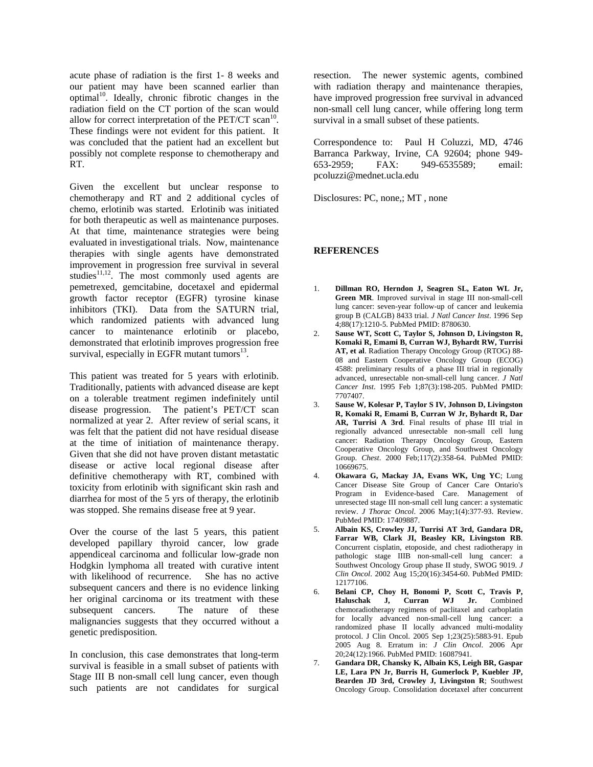acute phase of radiation is the first 1- 8 weeks and our patient may have been scanned earlier than optimal<sup>10</sup>. Ideally, chronic fibrotic changes in the radiation field on the CT portion of the scan would allow for correct interpretation of the  $PET/CT$  scan<sup>10</sup>. These findings were not evident for this patient. It was concluded that the patient had an excellent but possibly not complete response to chemotherapy and RT.

Given the excellent but unclear response to chemotherapy and RT and 2 additional cycles of chemo, erlotinib was started. Erlotinib was initiated for both therapeutic as well as maintenance purposes. At that time, maintenance strategies were being evaluated in investigational trials. Now, maintenance therapies with single agents have demonstrated improvement in progression free survival in several studies $11,12$ . The most commonly used agents are pemetrexed, gemcitabine, docetaxel and epidermal growth factor receptor (EGFR) tyrosine kinase inhibitors (TKI). Data from the SATURN trial, which randomized patients with advanced lung cancer to maintenance erlotinib or placebo, demonstrated that erlotinib improves progression free survival, especially in EGFR mutant tumors $^{13}$ .

This patient was treated for 5 years with erlotinib. Traditionally, patients with advanced disease are kept on a tolerable treatment regimen indefinitely until disease progression. The patient's PET/CT scan normalized at year 2. After review of serial scans, it was felt that the patient did not have residual disease at the time of initiation of maintenance therapy. Given that she did not have proven distant metastatic disease or active local regional disease after definitive chemotherapy with RT, combined with toxicity from erlotinib with significant skin rash and diarrhea for most of the 5 yrs of therapy, the erlotinib was stopped. She remains disease free at 9 year.

Over the course of the last 5 years, this patient developed papillary thyroid cancer, low grade appendiceal carcinoma and follicular low-grade non Hodgkin lymphoma all treated with curative intent with likelihood of recurrence. She has no active subsequent cancers and there is no evidence linking her original carcinoma or its treatment with these subsequent cancers. The nature of these malignancies suggests that they occurred without a genetic predisposition.

In conclusion, this case demonstrates that long-term survival is feasible in a small subset of patients with Stage III B non-small cell lung cancer, even though such patients are not candidates for surgical

resection. The newer systemic agents, combined with radiation therapy and maintenance therapies, have improved progression free survival in advanced non-small cell lung cancer, while offering long term survival in a small subset of these patients.

Correspondence to: Paul H Coluzzi, MD, 4746 Barranca Parkway, Irvine, CA 92604; phone 949- 653-2959; FAX: 949-6535589; email: pcoluzzi@mednet.ucla.edu

Disclosures: PC, none,; MT , none

#### **REFERENCES**

- 1. **Dillman RO, Herndon J, Seagren SL, Eaton WL Jr, Green MR**. Improved survival in stage III non-small-cell lung cancer: seven-year follow-up of cancer and leukemia group B (CALGB) 8433 trial. *J Natl Cancer Inst*. 1996 Sep 4;88(17):1210-5. PubMed PMID: 8780630.
- 2. **Sause WT, Scott C, Taylor S, Johnson D, Livingston R, Komaki R, Emami B, Curran WJ, Byhardt RW, Turrisi AT, et al**. Radiation Therapy Oncology Group (RTOG) 88- 08 and Eastern Cooperative Oncology Group (ECOG) 4588: preliminary results of a phase III trial in regionally advanced, unresectable non-small-cell lung cancer. *J Natl Cancer Inst*. 1995 Feb 1;87(3):198-205. PubMed PMID: 7707407.
- 3. **Sause W, Kolesar P, Taylor S IV, Johnson D, Livingston R, Komaki R, Emami B, Curran W Jr, Byhardt R, Dar AR, Turrisi A 3rd**. Final results of phase III trial in regionally advanced unresectable non-small cell lung cancer: Radiation Therapy Oncology Group, Eastern Cooperative Oncology Group, and Southwest Oncology Group. *Chest*. 2000 Feb;117(2):358-64. PubMed PMID: 10669675.
- 4. **Okawara G, Mackay JA, Evans WK, Ung YC**; Lung Cancer Disease Site Group of Cancer Care Ontario's Program in Evidence-based Care. Management of unresected stage III non-small cell lung cancer: a systematic review. *J Thorac Oncol*. 2006 May;1(4):377-93. Review. PubMed PMID: 17409887.
- 5. **Albain KS, Crowley JJ, Turrisi AT 3rd, Gandara DR, Farrar WB, Clark JI, Beasley KR, Livingston RB**. Concurrent cisplatin, etoposide, and chest radiotherapy in pathologic stage IIIB non-small-cell lung cancer: a Southwest Oncology Group phase II study, SWOG 9019. *J Clin Oncol*. 2002 Aug 15;20(16):3454-60. PubMed PMID: 12177106.
- 6. **Belani CP, Choy H, Bonomi P, Scott C, Travis P, Haluschak J, Curran WJ Jr.** Combined chemoradiotherapy regimens of paclitaxel and carboplatin for locally advanced non-small-cell lung cancer: a randomized phase II locally advanced multi-modality protocol. J Clin Oncol. 2005 Sep 1;23(25):5883-91. Epub 2005 Aug 8. Erratum in: *J Clin Oncol*. 2006 Apr 20;24(12):1966. PubMed PMID: 16087941.
- 7. **Gandara DR, Chansky K, Albain KS, Leigh BR, Gaspar LE, Lara PN Jr, Burris H, Gumerlock P, Kuebler JP, Bearden JD 3rd, Crowley J, Livingston R**; Southwest Oncology Group. Consolidation docetaxel after concurrent